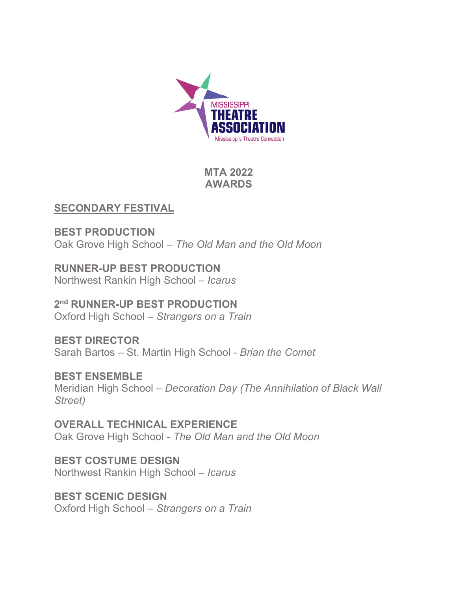

**MTA 2022 AWARDS**

### **SECONDARY FESTIVAL**

**BEST PRODUCTION** Oak Grove High School – *The Old Man and the Old Moon*

**RUNNER-UP BEST PRODUCTION** Northwest Rankin High School – *Icarus*

**2nd RUNNER-UP BEST PRODUCTION** Oxford High School – *Strangers on a Train*

**BEST DIRECTOR** Sarah Bartos – St. Martin High School - *Brian the Comet*

**BEST ENSEMBLE** Meridian High School – *Decoration Day (The Annihilation of Black Wall Street)*

**OVERALL TECHNICAL EXPERIENCE** Oak Grove High School - *The Old Man and the Old Moon*

**BEST COSTUME DESIGN** Northwest Rankin High School – *Icarus*

**BEST SCENIC DESIGN** Oxford High School – *Strangers on a Train*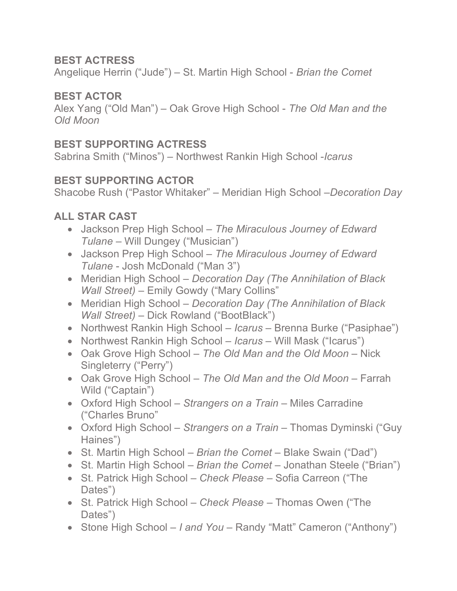## **BEST ACTRESS**

Angelique Herrin ("Jude") – St. Martin High School - *Brian the Comet*

## **BEST ACTOR**

Alex Yang ("Old Man") – Oak Grove High School - *The Old Man and the Old Moon*

## **BEST SUPPORTING ACTRESS**

Sabrina Smith ("Minos") – Northwest Rankin High School -*Icarus*

## **BEST SUPPORTING ACTOR**

Shacobe Rush ("Pastor Whitaker" – Meridian High School –*Decoration Day*

# **ALL STAR CAST**

- Jackson Prep High School *The Miraculous Journey of Edward Tulane* – Will Dungey ("Musician")
- Jackson Prep High School *The Miraculous Journey of Edward Tulane* - Josh McDonald ("Man 3")
- Meridian High School *Decoration Day (The Annihilation of Black Wall Street)* – Emily Gowdy ("Mary Collins"
- Meridian High School *Decoration Day (The Annihilation of Black Wall Street)* – Dick Rowland ("BootBlack")
- Northwest Rankin High School *Icarus* Brenna Burke ("Pasiphae")
- Northwest Rankin High School *Icarus* Will Mask ("Icarus")
- Oak Grove High School *The Old Man and the Old Moon* Nick Singleterry ("Perry")
- Oak Grove High School *The Old Man and the Old Moon* Farrah Wild ("Captain")
- Oxford High School *Strangers on a Train* Miles Carradine ("Charles Bruno"
- Oxford High School *Strangers on a Train* Thomas Dyminski ("Guy Haines")
- St. Martin High School *Brian the Comet* Blake Swain ("Dad")
- St. Martin High School *Brian the Comet* Jonathan Steele ("Brian")
- St. Patrick High School *Check Please* Sofia Carreon ("The Dates")
- St. Patrick High School *Check Please* Thomas Owen ("The Dates")
- Stone High School *I and You* Randy "Matt" Cameron ("Anthony")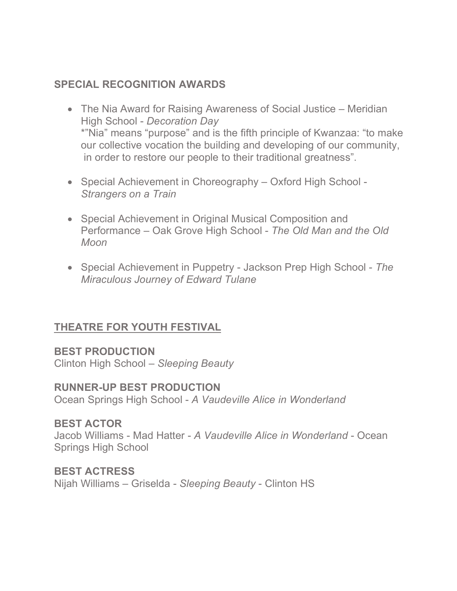#### **SPECIAL RECOGNITION AWARDS**

- The Nia Award for Raising Awareness of Social Justice Meridian High School - *Decoration Day* \*"Nia" means "purpose" and is the fifth principle of Kwanzaa: "to make our collective vocation the building and developing of our community, in order to restore our people to their traditional greatness".
- Special Achievement in Choreography Oxford High School *Strangers on a Train*
- Special Achievement in Original Musical Composition and Performance – Oak Grove High School - *The Old Man and the Old Moon*
- Special Achievement in Puppetry Jackson Prep High School *The Miraculous Journey of Edward Tulane*

### **THEATRE FOR YOUTH FESTIVAL**

#### **BEST PRODUCTION**

Clinton High School – *Sleeping Beauty*

#### **RUNNER-UP BEST PRODUCTION**

Ocean Springs High School - *A Vaudeville Alice in Wonderland*

#### **BEST ACTOR**

Jacob Williams - Mad Hatter - *A Vaudeville Alice in Wonderland* - Ocean Springs High School

# **BEST ACTRESS**

Nijah Williams – Griselda - *Sleeping Beauty* - Clinton HS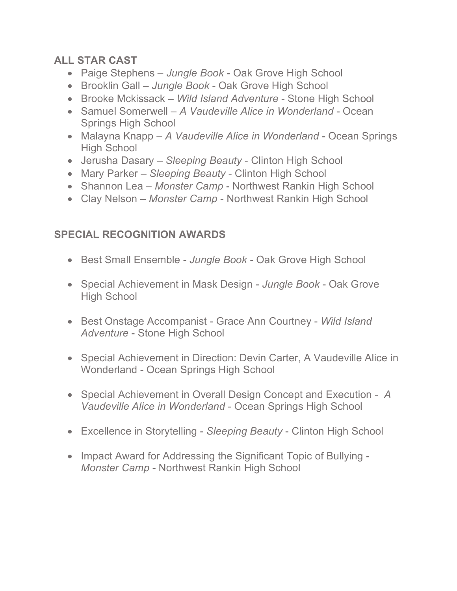# **ALL STAR CAST**

- Paige Stephens *Jungle Book* Oak Grove High School
- Brooklin Gall *Jungle Book*  Oak Grove High School
- Brooke Mckissack *Wild Island Adventure* Stone High School
- Samuel Somerwell *A Vaudeville Alice in Wonderland* Ocean Springs High School
- Malayna Knapp *A Vaudeville Alice in Wonderland* Ocean Springs High School
- Jerusha Dasary *Sleeping Beauty* Clinton High School
- Mary Parker *Sleeping Beauty* Clinton High School
- Shannon Lea *Monster Camp* Northwest Rankin High School
- Clay Nelson *Monster Camp* Northwest Rankin High School

# **SPECIAL RECOGNITION AWARDS**

- Best Small Ensemble *Jungle Book* Oak Grove High School
- Special Achievement in Mask Design *Jungle Book* Oak Grove High School
- Best Onstage Accompanist Grace Ann Courtney *Wild Island Adventure* - Stone High School
- Special Achievement in Direction: Devin Carter, A Vaudeville Alice in Wonderland - Ocean Springs High School
- Special Achievement in Overall Design Concept and Execution *A Vaudeville Alice in Wonderland* - Ocean Springs High School
- Excellence in Storytelling *Sleeping Beauty* Clinton High School
- Impact Award for Addressing the Significant Topic of Bullying *Monster Camp* - Northwest Rankin High School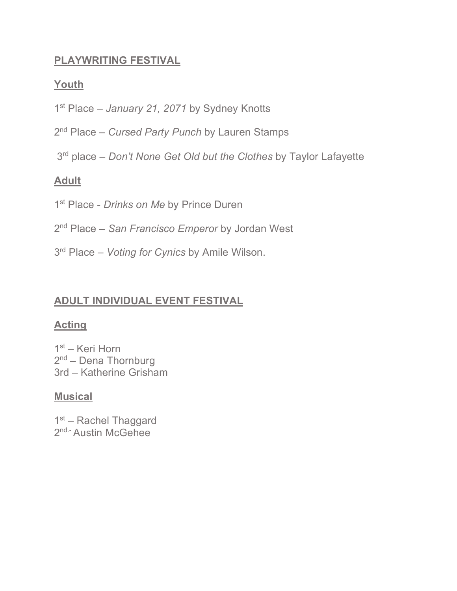## **PLAYWRITING FESTIVAL**

## **Youth**

- 1st Place *January 21, 2071* by Sydney Knotts
- 2nd Place *Cursed Party Punch* by Lauren Stamps
- 3rd place *Don't None Get Old but the Clothes* by Taylor Lafayette

# **Adult**

- 1<sup>st</sup> Place *Drinks on Me* by Prince Duren
- 2nd Place *San Francisco Emperor* by Jordan West
- 3rd Place *Voting for Cynics* by Amile Wilson.

# **ADULT INDIVIDUAL EVENT FESTIVAL**

# **Acting**

 $1<sup>st</sup>$  – Keri Horn 2<sup>nd</sup> – Dena Thornburg 3rd – Katherine Grisham

### **Musical**

1<sup>st</sup> – Rachel Thaggard 2<sup>nd.-</sup> Austin McGehee